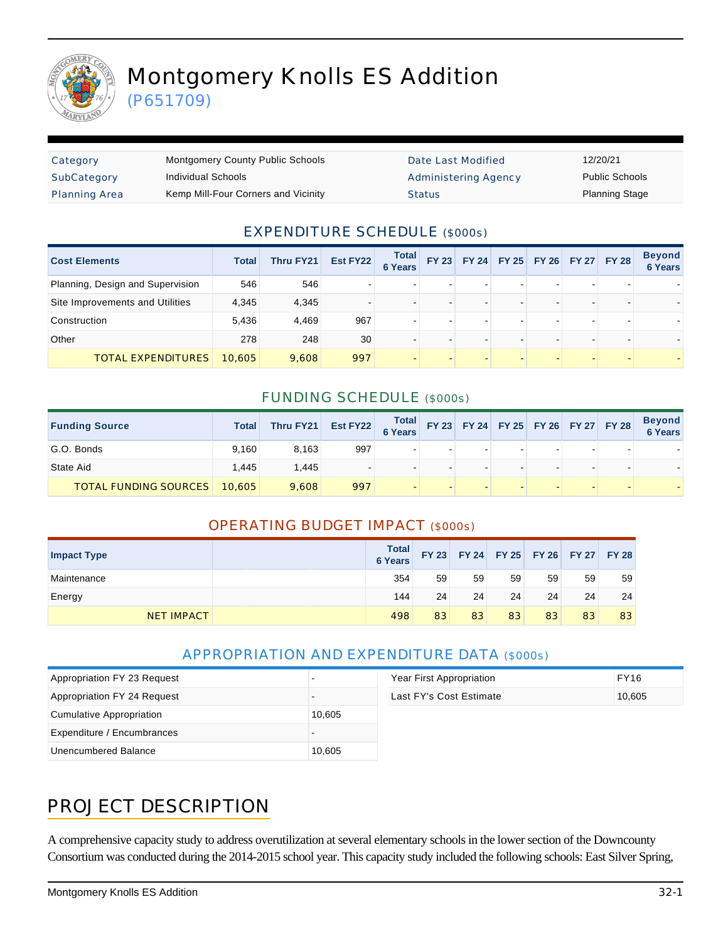

# Montgomery Knolls ES Addition

(P651709)

| Category             | <b>Montgomery County Public Schools</b> | Date Last Modified   | 12/20/21              |
|----------------------|-----------------------------------------|----------------------|-----------------------|
| SubCategory          | Individual Schools                      | Administering Agency | <b>Public Schools</b> |
| <b>Planning Area</b> | Kemp Mill-Four Corners and Vicinity     | <b>Status</b>        | <b>Planning Stage</b> |

#### EXPENDITURE SCHEDULE (\$000s)

| <b>Cost Elements</b>             | <b>Total</b> | Thru FY21 | Est FY22 | <b>Total</b><br><b>6 Years</b> |                          | FY 23 FY 24 FY 25 FY 26 FY 27 FY 28 |  | <b>Beyond</b><br><b>6 Years</b> |
|----------------------------------|--------------|-----------|----------|--------------------------------|--------------------------|-------------------------------------|--|---------------------------------|
| Planning, Design and Supervision | 546          | 546       |          |                                |                          |                                     |  |                                 |
| Site Improvements and Utilities  | 4,345        | 4.345     |          |                                |                          |                                     |  |                                 |
| Construction                     | 5,436        | 4.469     | 967      |                                | -                        |                                     |  |                                 |
| Other                            | 278          | 248       | 30       |                                | $\overline{\phantom{0}}$ |                                     |  |                                 |
| TOTAL EXPENDITURES               | 10.605       | 9.608     | 997      |                                |                          |                                     |  |                                 |

#### FUNDING SCHEDULE (\$000s)

| <b>Funding Source</b>        | <b>Total</b> | Thru FY21 | Est FY22 Total FY 23 FY 24 FY 25 FY 26 FY 27 FY 28 |  |   |  |  | Beyond<br>6 Years |
|------------------------------|--------------|-----------|----------------------------------------------------|--|---|--|--|-------------------|
| G.O. Bonds                   | 9.160        | 8.163     | 997                                                |  |   |  |  |                   |
| State Aid                    | 1.445        | 1,445     |                                                    |  | - |  |  |                   |
| <b>TOTAL FUNDING SOURCES</b> | 10,605       | 9.608     | 997                                                |  |   |  |  |                   |

#### OPERATING BUDGET IMPACT (\$000s)

| <b>Impact Type</b> | <b>Total</b><br><b>6 Years</b> | <b>FY 23</b> |    |    |    | FY 24 FY 25 FY 26 FY 27 FY 28 |    |
|--------------------|--------------------------------|--------------|----|----|----|-------------------------------|----|
| Maintenance        | 354                            | 59           | 59 | 59 | 59 | 59                            | 59 |
| Energy             | 144                            | 24           | 24 | 24 | 24 | 24                            | 24 |
| <b>NET IMPACT</b>  | 498                            | 83           | 83 | 83 | 83 | 83                            | 83 |

#### APPROPRIATION AND EXPENDITURE DATA (\$000s)

| Appropriation FY 23 Request |        | Year First Appropriation | <b>FY16</b> |
|-----------------------------|--------|--------------------------|-------------|
| Appropriation FY 24 Request |        | Last FY's Cost Estimate  | 10,605      |
| Cumulative Appropriation    | 10,605 |                          |             |
| Expenditure / Encumbrances  |        |                          |             |
| Unencumbered Balance        | 10,605 |                          |             |

### PROJECT DESCRIPTION

A comprehensive capacity study to address overutilization at several elementary schools in the lower section of the Downcounty Consortium was conducted during the 2014-2015 school year. This capacity study included the following schools: East Silver Spring,